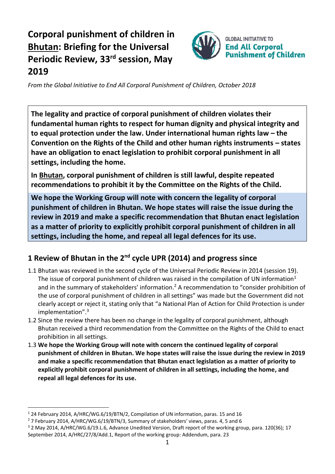# **Corporal punishment of children in Bhutan: Briefing for the Universal Periodic Review, 33 rd session, May 2019**



*From the Global Initiative to End All Corporal Punishment of Children, October 2018*

**The legality and practice of corporal punishment of children violates their fundamental human rights to respect for human dignity and physical integrity and to equal protection under the law. Under international human rights law – the Convention on the Rights of the Child and other human rights instruments – states have an obligation to enact legislation to prohibit corporal punishment in all settings, including the home.**

**In Bhutan, corporal punishment of children is still lawful, despite repeated recommendations to prohibit it by the Committee on the Rights of the Child.**

**We hope the Working Group will note with concern the legality of corporal punishment of children in Bhutan. We hope states will raise the issue during the review in 2019 and make a specific recommendation that Bhutan enact legislation as a matter of priority to explicitly prohibit corporal punishment of children in all settings, including the home, and repeal all legal defences for its use.**

## **1 Review of Bhutan in the 2nd cycle UPR (2014) and progress since**

- 1.1 Bhutan was reviewed in the second cycle of the Universal Periodic Review in 2014 (session 19). The issue of corporal punishment of children was raised in the compilation of UN information<sup>1</sup> and in the summary of stakeholders' information.<sup>2</sup> A recommendation to "consider prohibition of the use of corporal punishment of children in all settings" was made but the Government did not clearly accept or reject it, stating only that "a National Plan of Action for Child Protection is under implementation".<sup>3</sup>
- 1.2 Since the review there has been no change in the legality of corporal punishment, although Bhutan received a third recommendation from the Committee on the Rights of the Child to enact prohibition in all settings.
- 1.3 **We hope the Working Group will note with concern the continued legality of corporal punishment of children in Bhutan. We hope states will raise the issue during the review in 2019 and make a specific recommendation that Bhutan enact legislation as a matter of priority to explicitly prohibit corporal punishment of children in all settings, including the home, and repeal all legal defences for its use.**

<sup>1</sup> 24 February 2014, A/HRC/WG.6/19/BTN/2, Compilation of UN information, paras. 15 and 16

<sup>2</sup> 7 February 2014, A/HRC/WG.6/19/BTN/3, Summary of stakeholders' views, paras. 4, 5 and 6

<sup>3</sup> 2 May 2014, A/HRC/WG.6/19.L.6, Advance Unedited Version, Draft report of the working group, para. 120(36); 17 September 2014, A/HRC/27/8/Add.1, Report of the working group: Addendum, para. 23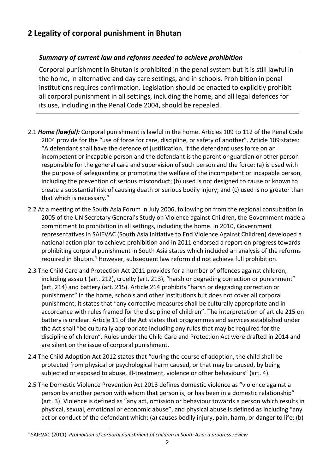### **2 Legality of corporal punishment in Bhutan**

#### *Summary of current law and reforms needed to achieve prohibition*

Corporal punishment in Bhutan is prohibited in the penal system but it is still lawful in the home, in alternative and day care settings, and in schools. Prohibition in penal institutions requires confirmation. Legislation should be enacted to explicitly prohibit all corporal punishment in all settings, including the home, and all legal defences for its use, including in the Penal Code 2004, should be repealed.

- 2.1 *Home (lawful):* Corporal punishment is lawful in the home. Articles 109 to 112 of the Penal Code 2004 provide for the "use of force for care, discipline, or safety of another". Article 109 states: "A defendant shall have the defence of justification, if the defendant uses force on an incompetent or incapable person and the defendant is the parent or guardian or other person responsible for the general care and supervision of such person and the force: (a) is used with the purpose of safeguarding or promoting the welfare of the incompetent or incapable person, including the prevention of serious misconduct; (b) used is not designed to cause or known to create a substantial risk of causing death or serious bodily injury; and (c) used is no greater than that which is necessary."
- 2.2 At a meeting of the South Asia Forum in July 2006, following on from the regional consultation in 2005 of the UN Secretary General's Study on Violence against Children, the Government made a commitment to prohibition in all settings, including the home. In 2010, Government representatives in SAIEVAC (South Asia Initiative to End Violence Against Children) developed a national action plan to achieve prohibition and in 2011 endorsed a report on progress towards prohibiting corporal punishment in South Asia states which included an analysis of the reforms required in Bhutan.<sup>4</sup> However, subsequent law reform did not achieve full prohibition.
- 2.3 The Child Care and Protection Act 2011 provides for a number of offences against children, including assault (art. 212), cruelty (art. 213), "harsh or degrading correction or punishment" (art. 214) and battery (art. 215). Article 214 prohibits "harsh or degrading correction or punishment" in the home, schools and other institutions but does not cover all corporal punishment; it states that "any corrective measures shall be culturally appropriate and in accordance with rules framed for the discipline of children". The interpretation of article 215 on battery is unclear. Article 11 of the Act states that programmes and services established under the Act shall "be culturally appropriate including any rules that may be required for the discipline of children". Rules under the Child Care and Protection Act were drafted in 2014 and are silent on the issue of corporal punishment.
- 2.4 The Child Adoption Act 2012 states that "during the course of adoption, the child shall be protected from physical or psychological harm caused, or that may be caused, by being subjected or exposed to abuse, ill-treatment, violence or other behaviours" (art. 4).
- 2.5 The Domestic Violence Prevention Act 2013 defines domestic violence as "violence against a person by another person with whom that person is, or has been in a domestic relationship" (art. 3). Violence is defined as "any act, omission or behaviour towards a person which results in physical, sexual, emotional or economic abuse", and physical abuse is defined as including "any act or conduct of the defendant which: (a) causes bodily injury, pain, harm, or danger to life; (b)

<sup>4</sup> SAIEVAC (2011), *Prohibition of corporal punishment of children in South Asia: a progress review*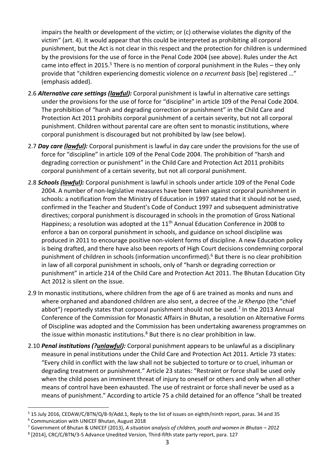impairs the health or development of the victim; or (c) otherwise violates the dignity of the victim" (art. 4). It would appear that this could be interpreted as prohibiting all corporal punishment, but the Act is not clear in this respect and the protection for children is undermined by the provisions for the use of force in the Penal Code 2004 (see above). Rules under the Act came into effect in 2015.<sup>5</sup> There is no mention of corporal punishment in the Rules – they only provide that "children experiencing domestic violence *on a recurrent basis* [be] registered …" (emphasis added).

- 2.6 *Alternative care settings (lawful):* Corporal punishment is lawful in alternative care settings under the provisions for the use of force for "discipline" in article 109 of the Penal Code 2004. The prohibition of "harsh and degrading correction or punishment" in the Child Care and Protection Act 2011 prohibits corporal punishment of a certain severity, but not all corporal punishment. Children without parental care are often sent to monastic institutions, where corporal punishment is discouraged but not prohibited by law (see below).
- 2.7 *Day care (lawful):* Corporal punishment is lawful in day care under the provisions for the use of force for "discipline" in article 109 of the Penal Code 2004. The prohibition of "harsh and degrading correction or punishment" in the Child Care and Protection Act 2011 prohibits corporal punishment of a certain severity, but not all corporal punishment.
- 2.8 *Schools (lawful):* Corporal punishment is lawful in schools under article 109 of the Penal Code 2004. A number of non-legislative measures have been taken against corporal punishment in schools: a notification from the Ministry of Education in 1997 stated that it should not be used, confirmed in the Teacher and Student's Code of Conduct 1997 and subsequent administrative directives; corporal punishment is discouraged in schools in the promotion of Gross National Happiness; a resolution was adopted at the  $11<sup>th</sup>$  Annual Education Conference in 2008 to enforce a ban on corporal punishment in schools, and guidance on school discipline was produced in 2011 to encourage positive non-violent forms of discipline. A new Education policy is being drafted, and there have also been reports of High Court decisions condemning corporal punishment of children in schools (information unconfirmed).<sup>6</sup> But there is no clear prohibition in law of all corporal punishment in schools, only of "harsh or degrading correction or punishment" in article 214 of the Child Care and Protection Act 2011. The Bhutan Education City Act 2012 is silent on the issue.
- 2.9 In monastic institutions, where children from the age of 6 are trained as monks and nuns and where orphaned and abandoned children are also sent, a decree of the *Je Khenpo* (the "chief abbot") reportedly states that corporal punishment should not be used.<sup>7</sup> In the 2013 Annual Conference of the Commission for Monastic Affairs in Bhutan, a resolution on Alternative Forms of Discipline was adopted and the Commission has been undertaking awareness programmes on the issue within monastic institutions. $8$  But there is no clear prohibition in law.
- 2.10 *Penal institutions (?unlawful):* Corporal punishment appears to be unlawful as a disciplinary measure in penal institutions under the Child Care and Protection Act 2011. Article 73 states: "Every child in conflict with the law shall not be subjected to torture or to cruel, inhuman or degrading treatment or punishment." Article 23 states: "Restraint or force shall be used only when the child poses an imminent threat of injury to oneself or others and only when all other means of control have been exhausted. The use of restraint or force shall never be used as a means of punishment." According to article 75 a child detained for an offence "shall be treated

<sup>5</sup> 15 July 2016, CEDAW/C/BTN/Q/8-9/Add.1, Reply to the list of issues on eighth/ninth report, paras. 34 and 35

<sup>6</sup> Communication with UNICEF Bhutan, August 2018

<sup>7</sup> Government of Bhutan & UNICEF (2013), *A situation analysis of children, youth and women in Bhutan – 2012*

 $8$  [2014], CRC/C/BTN/3-5 Advance Unedited Version, Third-fifth state party report, para. 127